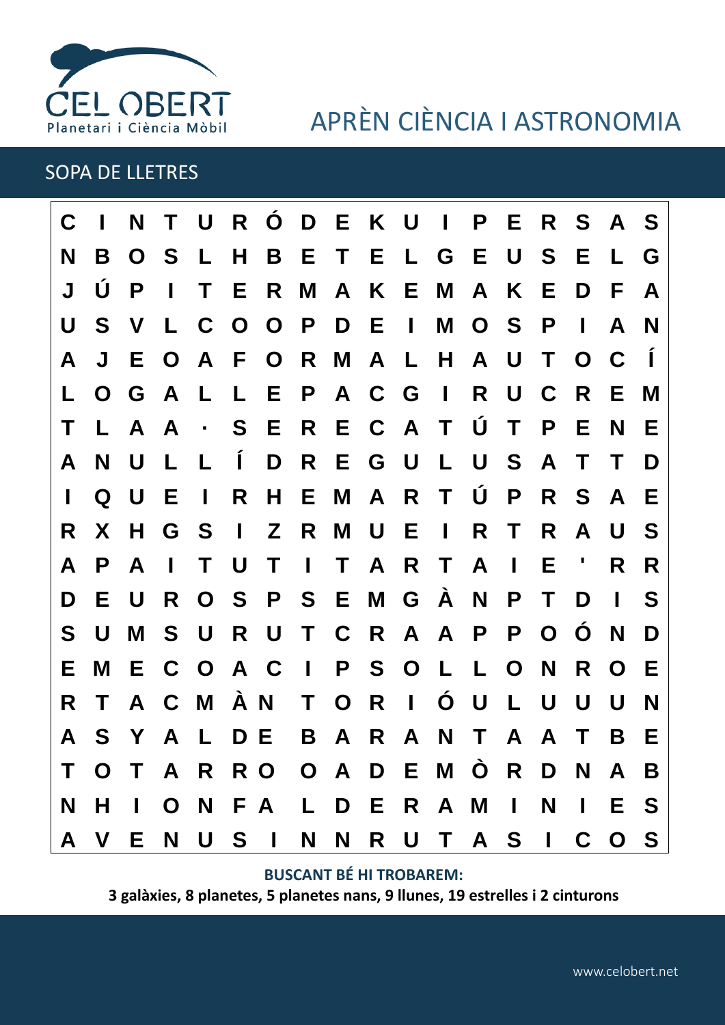

# APRÈN CIÈNCIA I ASTRONOMIA

### SOPA DE LLETRES

| C |    | N           | T.             | $\bigcup$        |              | R Ó D E K U I                       |                |              |           |              |                   | P            |              |              | E R S A S               |                |                |
|---|----|-------------|----------------|------------------|--------------|-------------------------------------|----------------|--------------|-----------|--------------|-------------------|--------------|--------------|--------------|-------------------------|----------------|----------------|
| N | B  | $\mathbf O$ | <b>S</b>       | $\mathbf{L}$     | H.           |                                     |                |              |           |              | B E T E L G E U S |              |              |              | E.                      | L.             | G              |
| J | U  | P           | $\mathbf{I}$   | T                | E.           | R                                   | M              |              | A K E     |              | M                 | $\mathsf{A}$ | K            | Е            | D                       | F.             | A              |
| U | S  | V           | L.             |                  |              | COOPDEI                             |                |              |           |              |                   | MOSP         |              |              | $\mathbf{I}$            | A              | N              |
| A | J  | Е.          | $\mathbf O$    | $\mathbf{A}$     | $\mathsf{F}$ |                                     |                |              |           |              | O R M A L H       | A U          |              | $\top$       | $\mathbf{O}$            | C              | $\blacksquare$ |
|   | O  | G           | <b>A</b>       | $\mathbf{L}$     | L            |                                     |                |              | EPACG     |              | $\blacksquare$    | R            | U C          |              | $\overline{\mathsf{R}}$ | E.             | M              |
| Τ | L. |             | A A            | $\sim$ $\bullet$ | $\mathsf{S}$ | E R E C A T Ú T                     |                |              |           |              |                   |              |              | $\mathsf{P}$ | Е                       | N              | E              |
| A | N  | U           | L              | L                | $\mathbf{I}$ | D                                   |                |              | R E G U   |              | $\mathbf{L}$      | U            | S A          |              | $\mathsf{T}$            | T              | D              |
|   | O  | $\bigcup$   | - E            | $\mathbf{I}$     | R            | $H_{\parallel}$                     |                |              | E M A R T |              |                   | $\bigcup$    | $\mathsf{P}$ | R            | - S                     | $\mathbf{A}$   | E              |
| R | X  | H.          | G              | $\mathbf S$      | $\mathbf{I}$ |                                     |                |              | Z R M U E |              | $\mathbf{I}$      | R            | T            | R            | $\mathsf{A}$            | U              | S              |
| A | P  | A           | $\blacksquare$ | T                | U            | $\mathsf{T}$                        | $\sim 10^{-1}$ | $\mathsf{T}$ |           | A R T        |                   | A            | $\mathbf{I}$ | Е            |                         | R.             | R              |
| D | Е  | U           | R              |                  |              | O S P S E M G A                     |                |              |           |              |                   | N            | P            | T            | D                       | H.             | S              |
| S | U  | M           |                | S U              |              | R U                                 |                |              |           |              | T C R A A         | P            | P            | $\mathbf O$  | Ó                       | N              | D              |
| Е | M  |             | E C O A C      |                  |              |                                     |                |              | IPSO      |              | $\mathsf{L}$      | L            | $\mathbf{O}$ | N            | R                       | O              | E              |
| R | T  | A           |                | C M À N          |              |                                     | T.             |              | O R       | $\mathbf{I}$ | Ó                 | U            | L            | U            | U                       | U              | N              |
| A | S. | Y A         |                | $\mathsf{L}$     | D E          |                                     | B              |              | A R       |              | A N T A           |              |              | $\mathsf{A}$ | $\mathsf{T}$            | B              | Е              |
|   |    |             |                |                  |              | T O T A R R O O A D E M Ò R D N A B |                |              |           |              |                   |              |              |              |                         |                |                |
| N | H  |             |                |                  |              | I O N F A L D E R A M I             |                |              |           |              |                   |              |              | N            | $\mathbf{1}$            | E S            |                |
|   |    |             |                |                  |              | A V E N U S I                       |                |              |           |              | N N R U T A S I   |              |              |              | $\mathbf C$             | $\overline{O}$ | - S            |

**BUSCANT BÉ HI TROBAREM:**

**3 galàxies, 8 planetes, 5 planetes nans, 9 llunes, 19 estrelles i 2 cinturons**